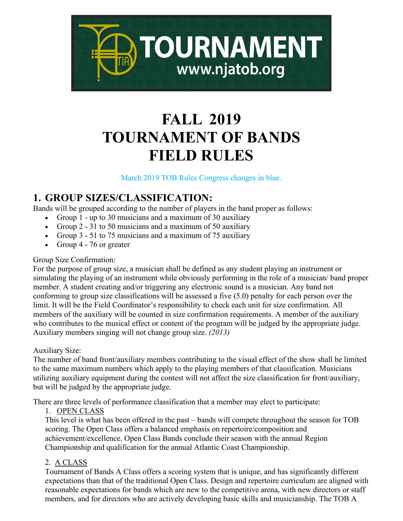

# **FALL 2019 TOURNAMENT OF BANDS FIELD RULES**

March 2019 TOB Rules Congress changes in blue.

### **1. GROUP SIZES/CLASSIFICATION:**

Bands will be grouped according to the number of players in the band proper as follows:

- Group 1 up to 30 musicians and a maximum of 30 auxiliary
- Group 2 31 to 50 musicians and a maximum of 50 auxiliary
- Group 3 51 to 75 musicians and a maximum of 75 auxiliary
- Group 4 76 or greater

#### Group Size Confirmation:

For the purpose of group size, a musician shall be defined as any student playing an instrument or simulating the playing of an instrument while obviously performing in the role of a musician/ band proper member. A student creating and/or triggering any electronic sound is a musician. Any band not conforming to group size classifications will be assessed a five (5.0) penalty for each person over the limit. It will be the Field Coordinator's responsibility to check each unit for size confirmation. All members of the auxiliary will be counted in size confirmation requirements. A member of the auxiliary who contributes to the musical effect or content of the program will be judged by the appropriate judge. Auxiliary members singing will not change group size. *(2013)*

#### Auxiliary Size:

The number of band front/auxiliary members contributing to the visual effect of the show shall be limited to the same maximum numbers which apply to the playing members of that classification. Musicians utilizing auxiliary equipment during the contest will not affect the size classification for front/auxiliary, but will be judged by the appropriate judge.

There are three levels of performance classification that a member may elect to participate:

1. OPEN CLASS

This level is what has been offered in the past – bands will compete throughout the season for TOB scoring. The Open Class offers a balanced emphasis on repertoire/composition and achievement/excellence. Open Class Bands conclude their season with the annual Region Championship and qualification for the annual Atlantic Coast Championship.

#### 2. A CLASS

Tournament of Bands A Class offers a scoring system that is unique, and has significantly different expectations than that of the traditional Open Class. Design and repertoire curriculum are aligned with reasonable expectations for bands which are new to the competitive arena, with new directors or staff members, and for directors who are actively developing basic skills and musicianship. The TOB A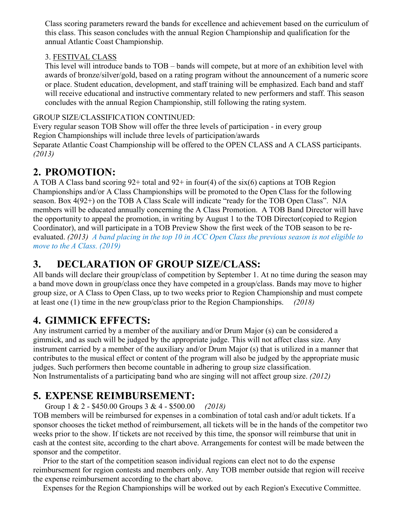Class scoring parameters reward the bands for excellence and achievement based on the curriculum of this class. This season concludes with the annual Region Championship and qualification for the annual Atlantic Coast Championship.

#### 3. FESTIVAL CLASS

This level will introduce bands to TOB – bands will compete, but at more of an exhibition level with awards of bronze/silver/gold, based on a rating program without the announcement of a numeric score or place. Student education, development, and staff training will be emphasized. Each band and staff will receive educational and instructive commentary related to new performers and staff. This season concludes with the annual Region Championship, still following the rating system.

#### GROUP SIZE/CLASSIFICATION CONTINUED:

Every regular season TOB Show will offer the three levels of participation - in every group Region Championships will include three levels of participation/awards Separate Atlantic Coast Championship will be offered to the OPEN CLASS and A CLASS participants. *(2013)*

#### **2. PROMOTION:**

A TOB A Class band scoring 92+ total and 92+ in four(4) of the six(6) captions at TOB Region Championships and/or A Class Championships will be promoted to the Open Class for the following season. Box 4(92+) on the TOB A Class Scale will indicate "ready for the TOB Open Class". NJA members will be educated annually concerning the A Class Promotion. A TOB Band Director will have the opportunity to appeal the promotion, in writing by August 1 to the TOB Director(copied to Region Coordinator), and will participate in a TOB Preview Show the first week of the TOB season to be reevaluated. *(2013) A band placing in the top 10 in ACC Open Class the previous season is not eligible to move to the A Class. (2019)*

### **3. DECLARATION OF GROUP SIZE/CLASS:**

All bands will declare their group/class of competition by September 1. At no time during the season may a band move down in group/class once they have competed in a group/class. Bands may move to higher group size, or A Class to Open Class, up to two weeks prior to Region Championship and must compete at least one (1) time in the new group/class prior to the Region Championships. *(2018)*

# **4. GIMMICK EFFECTS:**

Any instrument carried by a member of the auxiliary and/or Drum Major (s) can be considered a gimmick, and as such will be judged by the appropriate judge. This will not affect class size. Any instrument carried by a member of the auxiliary and/or Drum Major (s) that is utilized in a manner that contributes to the musical effect or content of the program will also be judged by the appropriate music judges. Such performers then become countable in adhering to group size classification. Non Instrumentalists of a participating band who are singing will not affect group size. *(2012)*

### **5. EXPENSE REIMBURSEMENT:**

Group 1 & 2 - \$450.00 Groups 3 & 4 - \$500.00 *(2018)*

TOB members will be reimbursed for expenses in a combination of total cash and/or adult tickets. If a sponsor chooses the ticket method of reimbursement, all tickets will be in the hands of the competitor two weeks prior to the show. If tickets are not received by this time, the sponsor will reimburse that unit in cash at the contest site, according to the chart above. Arrangements for contest will be made between the sponsor and the competitor.

 Prior to the start of the competition season individual regions can elect not to do the expense reimbursement for region contests and members only. Any TOB member outside that region will receive the expense reimbursement according to the chart above.

Expenses for the Region Championships will be worked out by each Region's Executive Committee.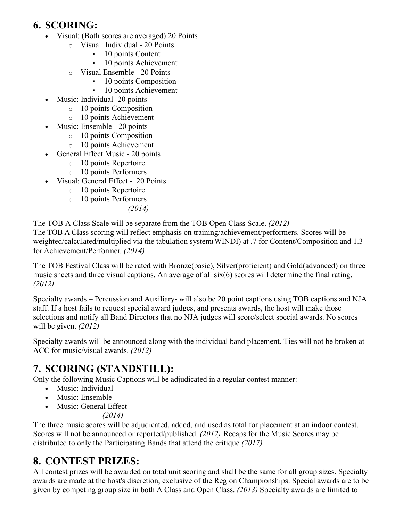# **6. SCORING:**

- Visual: (Both scores are averaged) 20 Points
	- o Visual: Individual 20 Points
		- $\blacksquare$  10 points Content
		- <sup>10</sup> points Achievement
	- o Visual Ensemble 20 Points
		- 10 points Composition
			- 10 points Achievement
- Music: Individual- 20 points
	- o 10 points Composition
	- o 10 points Achievement
	- Music: Ensemble 20 points
		- o 10 points Composition
		- o 10 points Achievement
- General Effect Music 20 points
	- o 10 points Repertoire
	- o 10 points Performers
- Visual: General Effect 20 Points
	- o 10 points Repertoire
	- o 10 points Performers
		- *(2014)*

The TOB A Class Scale will be separate from the TOB Open Class Scale. *(2012)*

The TOB A Class scoring will reflect emphasis on training/achievement/performers. Scores will be weighted/calculated/multiplied via the tabulation system(WINDI) at .7 for Content/Composition and 1.3 for Achievement/Performer. *(2014)*

The TOB Festival Class will be rated with Bronze(basic), Silver(proficient) and Gold(advanced) on three music sheets and three visual captions. An average of all six(6) scores will determine the final rating. *(2012)*

Specialty awards – Percussion and Auxiliary- will also be 20 point captions using TOB captions and NJA staff. If a host fails to request special award judges, and presents awards, the host will make those selections and notify all Band Directors that no NJA judges will score/select special awards. No scores will be given. *(2012)*

Specialty awards will be announced along with the individual band placement. Ties will not be broken at ACC for music/visual awards. *(2012)*

# **7. SCORING (STANDSTILL):**

Only the following Music Captions will be adjudicated in a regular contest manner:

- Music: Individual
- Music: Ensemble
- Music: General Effect

 *(2014)*

The three music scores will be adjudicated, added, and used as total for placement at an indoor contest. Scores will not be announced or reported/published. *(2012)* Recaps for the Music Scores may be distributed to only the Participating Bands that attend the critique*.(2017)*

#### **8. CONTEST PRIZES:**

All contest prizes will be awarded on total unit scoring and shall be the same for all group sizes. Specialty awards are made at the host's discretion, exclusive of the Region Championships. Special awards are to be given by competing group size in both A Class and Open Class. *(2013)* Specialty awards are limited to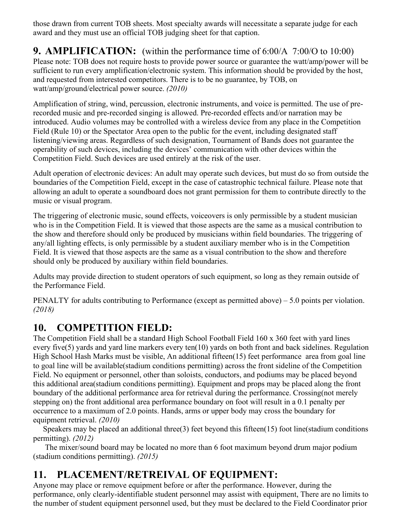those drawn from current TOB sheets. Most specialty awards will necessitate a separate judge for each award and they must use an official TOB judging sheet for that caption.

### **9. AMPLIFICATION:** (within the performance time of 6:00/A 7:00/O to 10:00)

Please note: TOB does not require hosts to provide power source or guarantee the watt/amp/power will be sufficient to run every amplification/electronic system. This information should be provided by the host, and requested from interested competitors. There is to be no guarantee, by TOB, on watt/amp/ground/electrical power source. *(2010)* 

Amplification of string, wind, percussion, electronic instruments, and voice is permitted. The use of prerecorded music and pre-recorded singing is allowed. Pre-recorded effects and/or narration may be introduced. Audio volumes may be controlled with a wireless device from any place in the Competition Field (Rule 10) or the Spectator Area open to the public for the event, including designated staff listening/viewing areas. Regardless of such designation, Tournament of Bands does not guarantee the operability of such devices, including the devices' communication with other devices within the Competition Field. Such devices are used entirely at the risk of the user.

Adult operation of electronic devices: An adult may operate such devices, but must do so from outside the boundaries of the Competition Field, except in the case of catastrophic technical failure. Please note that allowing an adult to operate a soundboard does not grant permission for them to contribute directly to the music or visual program.

The triggering of electronic music, sound effects, voiceovers is only permissible by a student musician who is in the Competition Field. It is viewed that those aspects are the same as a musical contribution to the show and therefore should only be produced by musicians within field boundaries. The triggering of any/all lighting effects, is only permissible by a student auxiliary member who is in the Competition Field. It is viewed that those aspects are the same as a visual contribution to the show and therefore should only be produced by auxiliary within field boundaries.

Adults may provide direction to student operators of such equipment, so long as they remain outside of the Performance Field.

PENALTY for adults contributing to Performance (except as permitted above) – 5.0 points per violation. *(2018)*

#### **10. COMPETITION FIELD:**

The Competition Field shall be a standard High School Football Field 160 x 360 feet with yard lines every five(5) yards and yard line markers every ten(10) yards on both front and back sidelines. Regulation High School Hash Marks must be visible, An additional fifteen(15) feet performance area from goal line to goal line will be available(stadium conditions permitting) across the front sideline of the Competition Field. No equipment or personnel, other than soloists, conductors, and podiums may be placed beyond this additional area(stadium conditions permitting). Equipment and props may be placed along the front boundary of the additional performance area for retrieval during the performance. Crossing(not merely stepping on) the front additional area performance boundary on foot will result in a 0.1 penalty per occurrence to a maximum of 2.0 points. Hands, arms or upper body may cross the boundary for equipment retrieval. *(2010)*

 Speakers may be placed an additional three(3) feet beyond this fifteen(15) foot line(stadium conditions permitting). *(2012)*

The mixer/sound board may be located no more than 6 foot maximum beyond drum major podium (stadium conditions permitting). *(2015)*

# **11. PLACEMENT/RETREIVAL OF EQUIPMENT:**

Anyone may place or remove equipment before or after the performance. However, during the performance, only clearly-identifiable student personnel may assist with equipment, There are no limits to the number of student equipment personnel used, but they must be declared to the Field Coordinator prior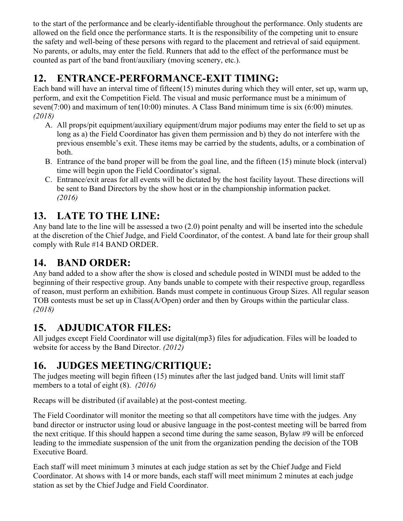to the start of the performance and be clearly-identifiable throughout the performance. Only students are allowed on the field once the performance starts. It is the responsibility of the competing unit to ensure the safety and well-being of these persons with regard to the placement and retrieval of said equipment. No parents, or adults, may enter the field. Runners that add to the effect of the performance must be counted as part of the band front/auxiliary (moving scenery, etc.).

# **12. ENTRANCE-PERFORMANCE-EXIT TIMING:**

Each band will have an interval time of fifteen(15) minutes during which they will enter, set up, warm up, perform, and exit the Competition Field. The visual and music performance must be a minimum of seven(7:00) and maximum of ten(10:00) minutes. A Class Band minimum time is six (6:00) minutes. *(2018)*

- A. All props/pit equipment/auxiliary equipment/drum major podiums may enter the field to set up as long as a) the Field Coordinator has given them permission and b) they do not interfere with the previous ensemble's exit. These items may be carried by the students, adults, or a combination of both.
- B. Entrance of the band proper will be from the goal line, and the fifteen (15) minute block (interval) time will begin upon the Field Coordinator's signal.
- C. Entrance/exit areas for all events will be dictated by the host facility layout. These directions will be sent to Band Directors by the show host or in the championship information packet. *(2016)*

# **13. LATE TO THE LINE:**

Any band late to the line will be assessed a two (2.0) point penalty and will be inserted into the schedule at the discretion of the Chief Judge, and Field Coordinator, of the contest. A band late for their group shall comply with Rule #14 BAND ORDER.

# **14. BAND ORDER:**

Any band added to a show after the show is closed and schedule posted in WINDI must be added to the beginning of their respective group. Any bands unable to compete with their respective group, regardless of reason, must perform an exhibition. Bands must compete in continuous Group Sizes. All regular season TOB contests must be set up in Class(A/Open) order and then by Groups within the particular class. *(2018)*

# **15. ADJUDICATOR FILES:**

All judges except Field Coordinator will use digital(mp3) files for adjudication. Files will be loaded to website for access by the Band Director. *(2012)*

# **16. JUDGES MEETING/CRITIQUE:**

The judges meeting will begin fifteen (15) minutes after the last judged band. Units will limit staff members to a total of eight (8). *(2016)*

Recaps will be distributed (if available) at the post-contest meeting.

The Field Coordinator will monitor the meeting so that all competitors have time with the judges. Any band director or instructor using loud or abusive language in the post-contest meeting will be barred from the next critique. If this should happen a second time during the same season, Bylaw #9 will be enforced leading to the immediate suspension of the unit from the organization pending the decision of the TOB Executive Board.

Each staff will meet minimum 3 minutes at each judge station as set by the Chief Judge and Field Coordinator. At shows with 14 or more bands, each staff will meet minimum 2 minutes at each judge station as set by the Chief Judge and Field Coordinator.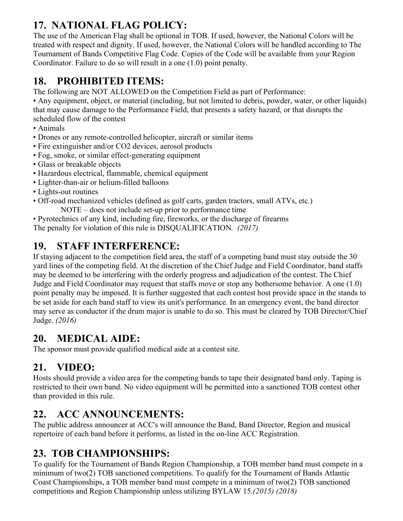# **17. NATIONAL FLAG POLICY:**

The use of the American Flag shall be optional in TOB. If used, however, the National Colors will be treated with respect and dignity. If used, however, the National Colors will be handled according to The Tournament of Bands Competitive Flag Code. Copies of the Code will be available from your Region Coordinator. Failure to do so will result in a one (1.0) point penalty.

# **18. PROHIBITED ITEMS:**

The following are NOT ALLOWED on the Competition Field as part of Performance:

• Any equipment, object, or material (including, but not limited to debris, powder, water, or other liquids) that may cause damage to the Performance Field, that presents a safety hazard, or that disrupts the scheduled flow of the contest

- Animals
- Drones or any remote-controlled helicopter, aircraft or similar items
- Fire extinguisher and/or CO2 devices, aerosol products
- Fog, smoke, or similar effect-generating equipment
- Glass or breakable objects
- Hazardous electrical, flammable, chemical equipment
- Lighter-than-air or helium-filled balloons
- Lights-out routines
- Off-road mechanized vehicles (defined as golf carts, garden tractors, small ATVs, etc.)

NOTE – does not include set-up prior to performance time

• Pyrotechnics of any kind, including fire, fireworks, or the discharge of firearms The penalty for violation of this rule is DISQUALIFICATION*. (2017)*

# **19. STAFF INTERFERENCE:**

If staying adjacent to the competition field area, the staff of a competing band must stay outside the 30 yard lines of the competing field. At the discretion of the Chief Judge and Field Coordinator, band staffs may be deemed to be interfering with the orderly progress and adjudication of the contest. The Chief Judge and Field Coordinator may request that staffs move or stop any bothersome behavior. A one (1.0) point penalty may be imposed. It is further suggested that each contest host provide space in the stands to be set aside for each band staff to view its unit's performance. In an emergency event, the band director may serve as conductor if the drum major is unable to do so. This must be cleared by TOB Director/Chief Judge. *(2016)*

### **20. MEDICAL AIDE:**

The sponsor must provide qualified medical aide at a contest site.

# **21. VIDEO:**

Hosts should provide a video area for the competing bands to tape their designated band only. Taping is restricted to their own band. No video equipment will be permitted into a sanctioned TOB contest other than provided in this rule.

# **22. ACC ANNOUNCEMENTS:**

The public address announcer at ACC's will announce the Band, Band Director, Region and musical repertoire of each band before it performs, as listed in the on-line ACC Registration.

# **23. TOB CHAMPIONSHIPS:**

To qualify for the Tournament of Bands Region Championship, a TOB member band must compete in a minimum of two(2) TOB sanctioned competitions. To qualify for the Tournament of Bands Atlantic Coast Championships, a TOB member band must compete in a minimum of two(2) TOB sanctioned competitions and Region Championship unless utilizing BYLAW 15.*(2015) (2018)*